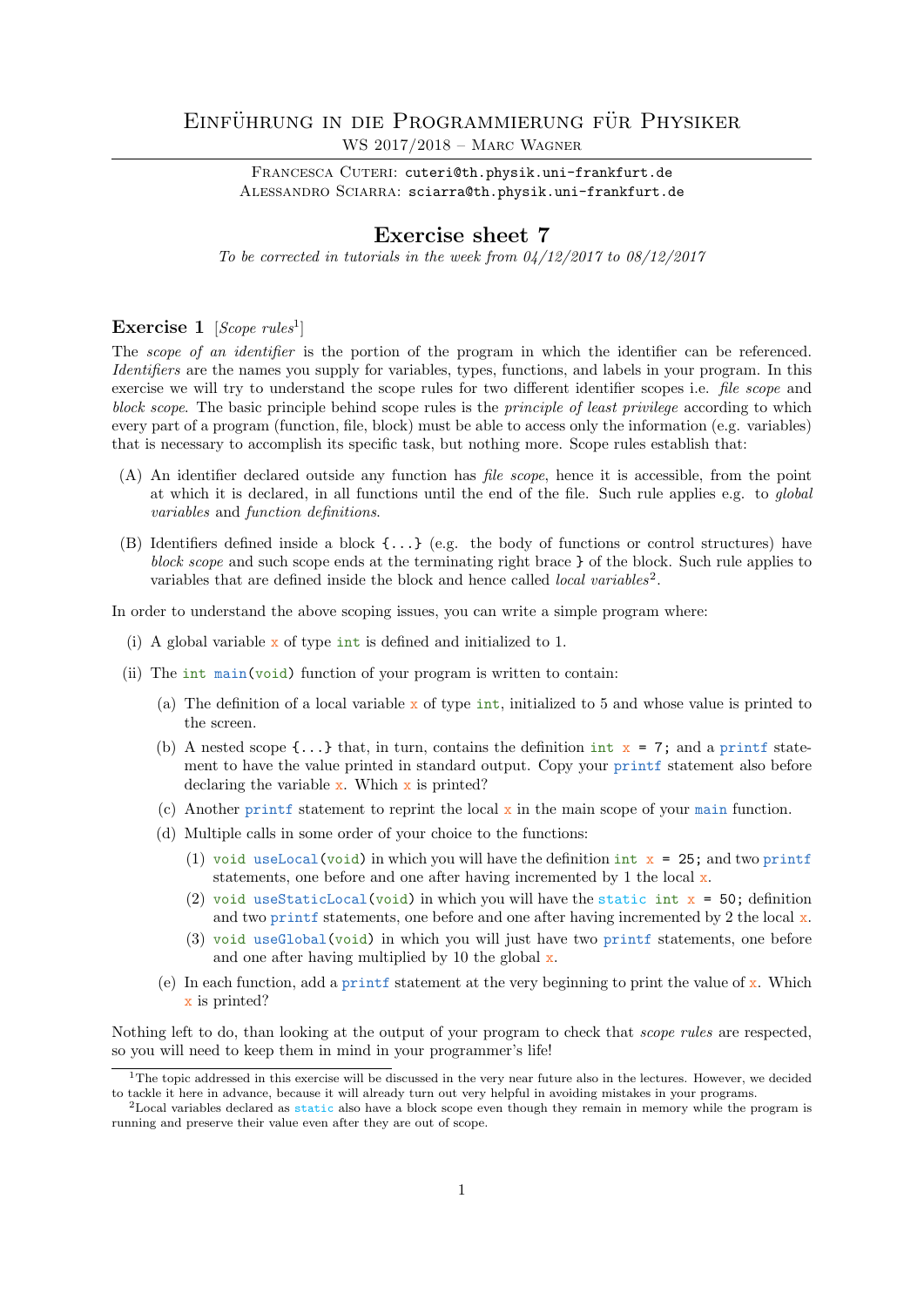# EINFÜHRUNG IN DIE PROGRAMMIERUNG FÜR PHYSIKER WS 2017/2018 – Marc Wagner

FRANCESCA CUTERI: cuteri@th.physik.uni-frankfurt.de ALESSANDRO SCIARRA: sciarra@th.physik.uni-frankfurt.de

## Exercise sheet 7

To be corrected in tutorials in the week from  $04/12/2017$  to  $08/12/2017$ 

## Exercise  $1$  [Scope rules<sup>1</sup>]

The *scope of an identifier* is the portion of the program in which the identifier can be referenced. Identifiers are the names you supply for variables, types, functions, and labels in your program. In this exercise we will try to understand the scope rules for two different identifier scopes i.e. file scope and block scope. The basic principle behind scope rules is the *principle of least privilege* according to which every part of a program (function, file, block) must be able to access only the information (e.g. variables) that is necessary to accomplish its specific task, but nothing more. Scope rules establish that:

- (A) An identifier declared outside any function has file scope, hence it is accessible, from the point at which it is declared, in all functions until the end of the file. Such rule applies e.g. to global variables and function definitions.
- (B) Identifiers defined inside a block {...} (e.g. the body of functions or control structures) have block scope and such scope ends at the terminating right brace  $\}$  of the block. Such rule applies to variables that are defined inside the block and hence called *local variables*<sup>2</sup>.

In order to understand the above scoping issues, you can write a simple program where:

- (i) A global variable x of type int is defined and initialized to 1.
- (ii) The int main(void) function of your program is written to contain:
	- (a) The definition of a local variable x of type int, initialized to 5 and whose value is printed to the screen.
	- (b) A nested scope  $\{\ldots\}$  that, in turn, contains the definition int  $x = 7$ ; and a printf statement to have the value printed in standard output. Copy your printf statement also before declaring the variable  $x$ . Which  $x$  is printed?
	- (c) Another printf statement to reprint the local  $x$  in the main scope of your main function.
	- (d) Multiple calls in some order of your choice to the functions:
		- (1) void useLocal(void) in which you will have the definition int  $x = 25$ ; and two printf statements, one before and one after having incremented by 1 the local  $x$ .
		- (2) void useStaticLocal(void) in which you will have the static int  $x = 50$ ; definition and two printf statements, one before and one after having incremented by 2 the local  $\mathbf{x}$ .
		- (3) void useGlobal(void) in which you will just have two printf statements, one before and one after having multiplied by 10 the global  $x$ .
	- (e) In each function, add a print f statement at the very beginning to print the value of  $\bf{x}$ . Which x is printed?

Nothing left to do, than looking at the output of your program to check that *scope rules* are respected, so you will need to keep them in mind in your programmer's life!

 $1$ The topic addressed in this exercise will be discussed in the very near future also in the lectures. However, we decided to tackle it here in advance, because it will already turn out very helpful in avoiding mistakes in your programs.

 $2$ Local variables declared as static also have a block scope even though they remain in memory while the program is running and preserve their value even after they are out of scope.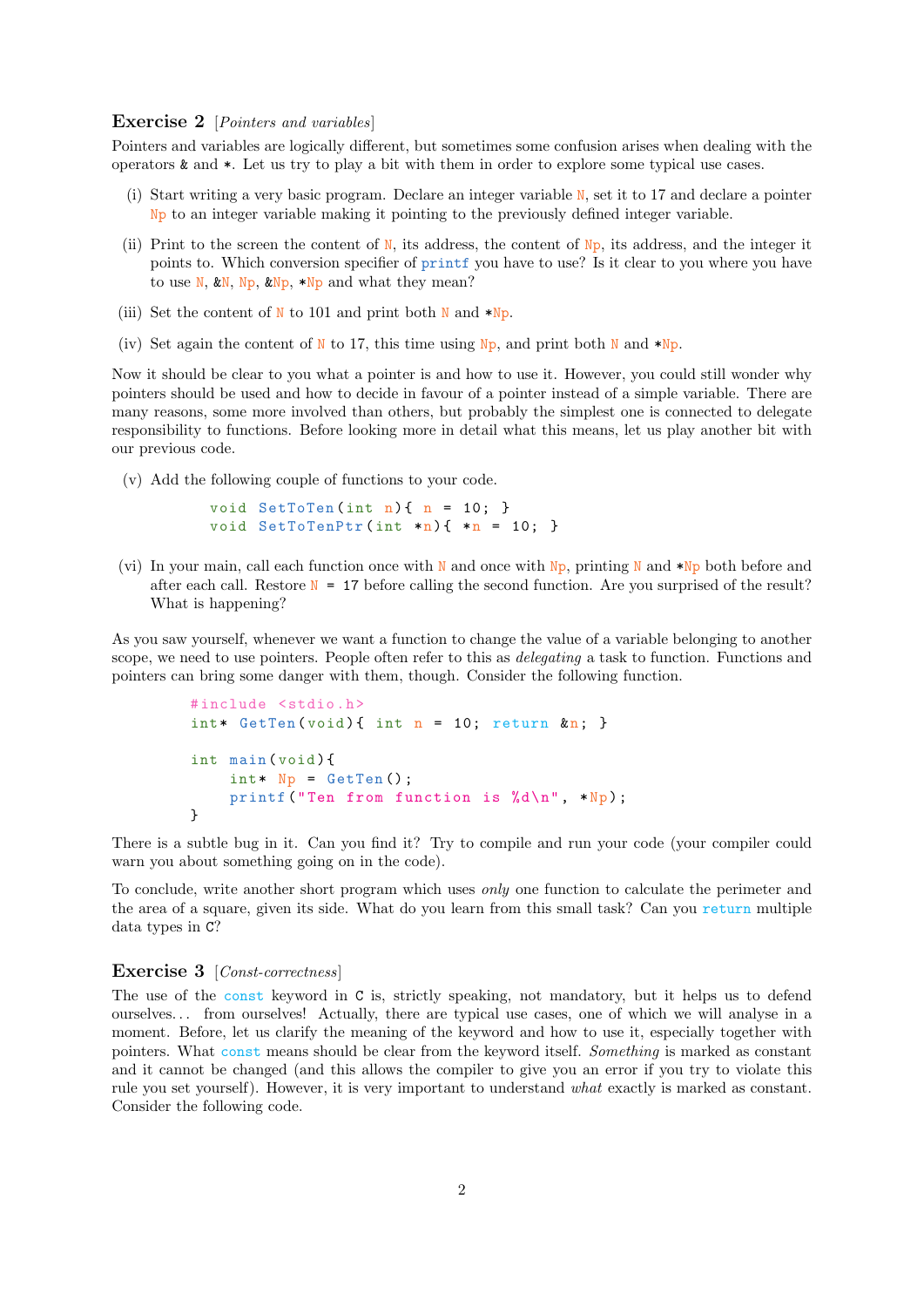### Exercise 2 [*Pointers and variables*]

Pointers and variables are logically different, but sometimes some confusion arises when dealing with the operators & and \*. Let us try to play a bit with them in order to explore some typical use cases.

- (i) Start writing a very basic program. Declare an integer variable N, set it to 17 and declare a pointer Np to an integer variable making it pointing to the previously defined integer variable.
- (ii) Print to the screen the content of  $N$ , its address, the content of  $N<sub>P</sub>$ , its address, and the integer it points to. Which conversion specifier of printf you have to use? Is it clear to you where you have to use N,  $kN$ , Np,  $kNp$ , \*Np and what they mean?
- (iii) Set the content of N to 101 and print both N and  $*Np$ .
- (iv) Set again the content of N to 17, this time using  $N_p$ , and print both N and \*Np.

Now it should be clear to you what a pointer is and how to use it. However, you could still wonder why pointers should be used and how to decide in favour of a pointer instead of a simple variable. There are many reasons, some more involved than others, but probably the simplest one is connected to delegate responsibility to functions. Before looking more in detail what this means, let us play another bit with our previous code.

(v) Add the following couple of functions to your code.

```
void SetToTen (int n) {n = 10; }void SetToTenPtr(int *n) { *n = 10; }
```
(vi) In your main, call each function once with N and once with N<sub>p</sub>, printing N and  $*Np$  both before and after each call. Restore  $N = 17$  before calling the second function. Are you surprised of the result? What is happening?

As you saw yourself, whenever we want a function to change the value of a variable belonging to another scope, we need to use pointers. People often refer to this as *delegating* a task to function. Functions and pointers can bring some danger with them, though. Consider the following function.

```
# include <stdio .h>
\text{int*} GetTen(void){ int n = 10; return &n; }
int main ( void ) {
     int* Np = GetTen();
     printf ("Ten from function is \lambda d \nightharpoonup n, *Np);
}
```
There is a subtle bug in it. Can you find it? Try to compile and run your code (your compiler could warn you about something going on in the code).

To conclude, write another short program which uses only one function to calculate the perimeter and the area of a square, given its side. What do you learn from this small task? Can you return multiple data types in C?

#### Exercise 3 [Const-correctness]

The use of the const keyword in C is, strictly speaking, not mandatory, but it helps us to defend ourselves. . . from ourselves! Actually, there are typical use cases, one of which we will analyse in a moment. Before, let us clarify the meaning of the keyword and how to use it, especially together with pointers. What const means should be clear from the keyword itself. Something is marked as constant and it cannot be changed (and this allows the compiler to give you an error if you try to violate this rule you set yourself). However, it is very important to understand what exactly is marked as constant. Consider the following code.